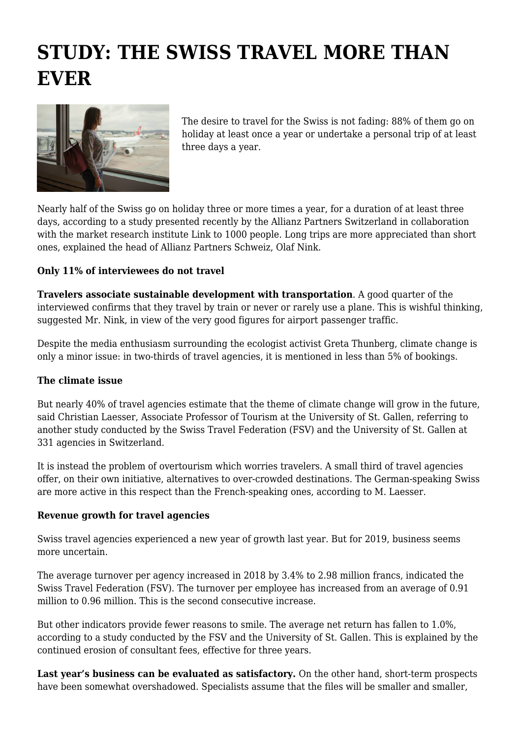## **STUDY: THE SWISS TRAVEL MORE THAN EVER**



The desire to travel for the Swiss is not fading: 88% of them go on holiday at least once a year or undertake a personal trip of at least three days a year.

Nearly half of the Swiss go on holiday three or more times a year, for a duration of at least three days, according to a study presented recently by the Allianz Partners Switzerland in collaboration with the market research institute Link to 1000 people. Long trips are more appreciated than short ones, explained the head of Allianz Partners Schweiz, Olaf Nink.

## **Only 11% of interviewees do not travel**

**Travelers associate sustainable development with transportation**. A good quarter of the interviewed confirms that they travel by train or never or rarely use a plane. This is wishful thinking, suggested Mr. Nink, in view of the very good figures for airport passenger traffic.

Despite the media enthusiasm surrounding the ecologist activist Greta Thunberg, climate change is only a minor issue: in two-thirds of travel agencies, it is mentioned in less than 5% of bookings.

## **The climate issue**

But nearly 40% of travel agencies estimate that the theme of climate change will grow in the future, said Christian Laesser, Associate Professor of Tourism at the University of St. Gallen, referring to another study conducted by the Swiss Travel Federation (FSV) and the University of St. Gallen at 331 agencies in Switzerland.

It is instead the problem of overtourism which worries travelers. A small third of travel agencies offer, on their own initiative, alternatives to over-crowded destinations. The German-speaking Swiss are more active in this respect than the French-speaking ones, according to M. Laesser.

## **Revenue growth for travel agencies**

Swiss travel agencies experienced a new year of growth last year. But for 2019, business seems more uncertain.

The average turnover per agency increased in 2018 by 3.4% to 2.98 million francs, indicated the Swiss Travel Federation (FSV). The turnover per employee has increased from an average of 0.91 million to 0.96 million. This is the second consecutive increase.

But other indicators provide fewer reasons to smile. The average net return has fallen to 1.0%, according to a study conducted by the FSV and the University of St. Gallen. This is explained by the continued erosion of consultant fees, effective for three years.

Last year's business can be evaluated as satisfactory. On the other hand, short-term prospects have been somewhat overshadowed. Specialists assume that the files will be smaller and smaller,